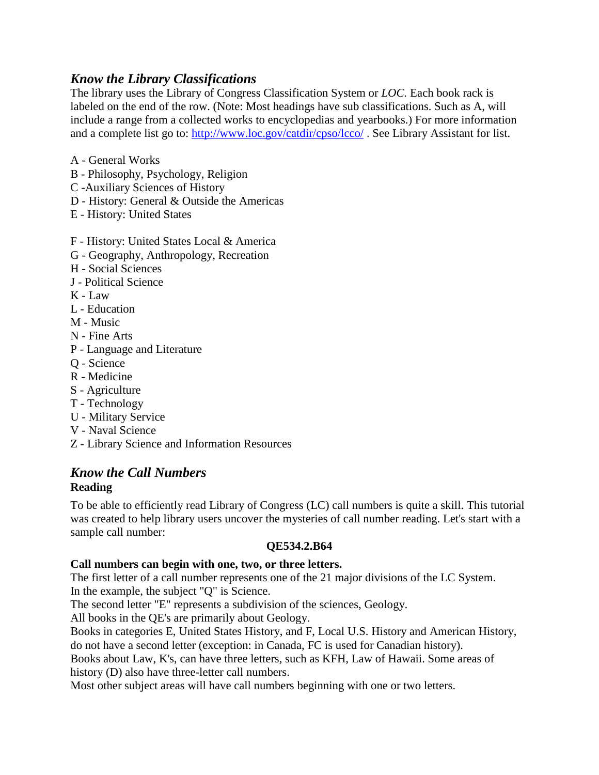# *Know the Library Classifications*

The library uses the Library of Congress Classification System or *LOC.* Each book rack is labeled on the end of the row. (Note: Most headings have sub classifications. Such as A, will include a range from a collected works to encyclopedias and yearbooks.) For more information and a complete list go to:<http://www.loc.gov/catdir/cpso/lcco/>. See Library Assistant for list.

- A General Works
- B Philosophy, Psychology, Religion
- C -Auxiliary Sciences of History
- D History: General & Outside the Americas
- E History: United States
- F History: United States Local & America
- G Geography, Anthropology, Recreation
- H Social Sciences
- J Political Science
- K Law
- L Education
- M Music
- N Fine Arts
- P Language and Literature
- Q Science
- R Medicine
- S Agriculture
- T Technology
- U Military Service
- V Naval Science
- Z Library Science and Information Resources

# *Know the Call Numbers* **Reading**

To be able to efficiently read Library of Congress (LC) call numbers is quite a skill. This tutorial was created to help library users uncover the mysteries of call number reading. Let's start with a sample call number:

# **QE534.2.B64**

# **Call numbers can begin with one, two, or three letters.**

The first letter of a call number represents one of the 21 major divisions of the LC System. In the example, the subject "Q" is Science.

The second letter "E" represents a subdivision of the sciences, Geology.

All books in the [QE's](file:///F:/blq.htm) are primarily about Geology.

Books in categories E, United States History, and F, Local U.S. History and American History, do not have a second letter (exception: in Canada, FC is used for Canadian history).

Books about Law, K's, can have three letters, such as KFH, Law of Hawaii. Some areas of history (D) also have three-letter call numbers.

Most other subject areas will have call numbers beginning with one or two letters.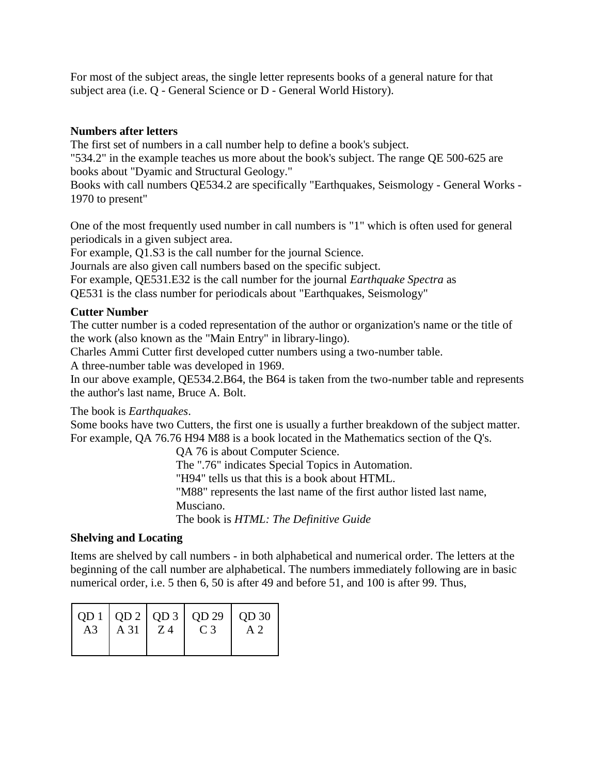For most of the subject areas, the single letter represents books of a general nature for that subject area (i.e. Q - General Science or D - General World History).

#### **Numbers after letters**

The first set of numbers in a call number help to define a book's subject.

"534.2" in the example teaches us more about the book's subject. The range QE 500-625 are books about "Dyamic and Structural Geology."

Books with call numbers QE534.2 are specifically "Earthquakes, Seismology - General Works - 1970 to present"

One of the most frequently used number in call numbers is "1" which is often used for general periodicals in a given subject area.

For example, Q1.S3 is the call number for the journal Science.

Journals are also given call numbers based on the specific subject.

For example, QE531.E32 is the call number for the journal *Earthquake Spectra* as

QE531 is the class number for periodicals about "Earthquakes, Seismology"

#### **Cutter Number**

The cutter number is a coded representation of the author or organization's name or the title of the work (also known as the "Main Entry" in library-lingo).

Charles Ammi Cutter first developed cutter numbers using a two-number table.

A three-number table was developed in 1969.

In our above example, QE534.2.B64, the B64 is taken from the two-number table and represents the author's last name, Bruce A. Bolt.

The book is *Earthquakes*.

Some books have two Cutters, the first one is usually a further breakdown of the subject matter. For example, QA 76.76 H94 M88 is a book located in the Mathematics section of the Q's.

QA 76 is about Computer Science.

The ".76" indicates Special Topics in Automation.

"H94" tells us that this is a book about HTML.

"M88" represents the last name of the first author listed last name,

Musciano.

The book is *HTML: The Definitive Guide*

#### **Shelving and Locating**

Items are shelved by call numbers - in both alphabetical and numerical order. The letters at the beginning of the call number are alphabetical. The numbers immediately following are in basic numerical order, i.e. 5 then 6, 50 is after 49 and before 51, and 100 is after 99. Thus,

| A3 | $A 31 \mid Z4$ | C <sub>3</sub> | $\vert$ QD 1 $\vert$ QD 2 $\vert$ QD 3 $\vert$ QD 29 $\vert$ QD 30 $\vert$ |
|----|----------------|----------------|----------------------------------------------------------------------------|
|    |                |                |                                                                            |